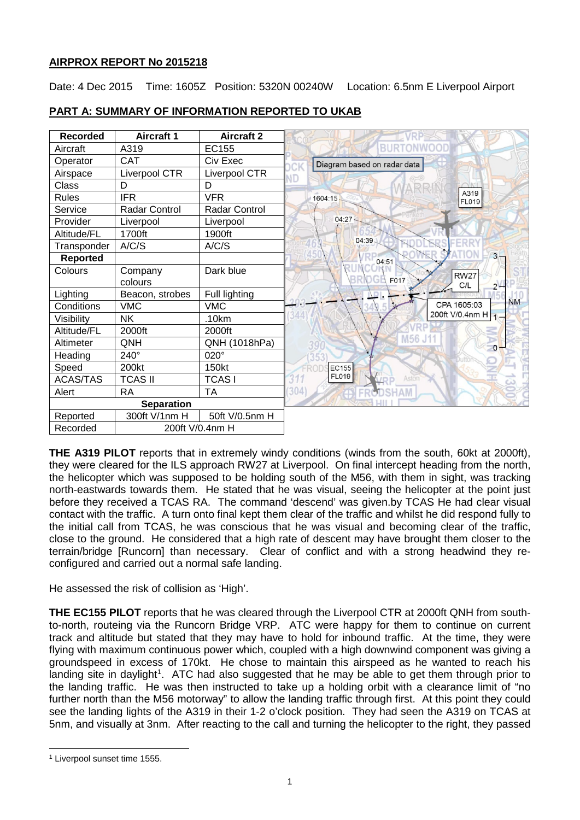# **AIRPROX REPORT No 2015218**

Date: 4 Dec 2015 Time: 1605Z Position: 5320N 00240W Location: 6.5nm E Liverpool Airport

| <b>Recorded</b>   | <b>Aircraft 1</b>    | <b>Aircraft 2</b> |                                  |
|-------------------|----------------------|-------------------|----------------------------------|
| Aircraft          | A319                 | EC155             |                                  |
| Operator          | <b>CAT</b>           | Civ Exec          | Diagram based on radar data      |
| Airspace          | <b>Liverpool CTR</b> | Liverpool CTR     |                                  |
| Class             | D                    | D                 |                                  |
| <b>Rules</b>      | <b>IFR</b>           | <b>VFR</b>        | A319<br>1604:15.<br><b>FL019</b> |
| Service           | <b>Radar Control</b> | Radar Control     |                                  |
| Provider          | Liverpool            | Liverpool         | 04:27                            |
| Altitude/FL       | 1700ft               | 1900ft            |                                  |
| Transponder       | A/C/S                | A/C/S             | 04:39                            |
| <b>Reported</b>   |                      |                   | $3 -$<br>04:51                   |
| Colours           | Company              | Dark blue         | <b>RW27</b>                      |
|                   | colours              |                   | F017<br>C/L<br>$2 -$             |
| Lighting          | Beacon, strobes      | Full lighting     |                                  |
| Conditions        | <b>VMC</b>           | <b>VMC</b>        | <b>NM</b><br>CPA 1605:03         |
| Visibility        | <b>NK</b>            | .10km             | 200ft V/0.4nm H                  |
| Altitude/FL       | 2000ft               | 2000ft            |                                  |
| Altimeter         | QNH                  | QNH (1018hPa)     | M <sub>56</sub> J<br>$0 -$       |
| Heading           | 240°                 | 020°              |                                  |
| Speed             | 200kt                | 150kt             | EC155                            |
| <b>ACAS/TAS</b>   | <b>TCAS II</b>       | <b>TCASI</b>      | FL019                            |
| Alert             | <b>RA</b>            | <b>TA</b>         | 304                              |
| <b>Separation</b> |                      |                   |                                  |
| Reported          | 300ft V/1nm H        | 50ft V/0.5nm H    |                                  |
| Recorded          | 200ft V/0.4nm H      |                   |                                  |

# **PART A: SUMMARY OF INFORMATION REPORTED TO UKAB**

**THE A319 PILOT** reports that in extremely windy conditions (winds from the south, 60kt at 2000ft), they were cleared for the ILS approach RW27 at Liverpool. On final intercept heading from the north, the helicopter which was supposed to be holding south of the M56, with them in sight, was tracking north-eastwards towards them. He stated that he was visual, seeing the helicopter at the point just before they received a TCAS RA. The command 'descend' was given.by TCAS He had clear visual contact with the traffic. A turn onto final kept them clear of the traffic and whilst he did respond fully to the initial call from TCAS, he was conscious that he was visual and becoming clear of the traffic, close to the ground. He considered that a high rate of descent may have brought them closer to the terrain/bridge [Runcorn] than necessary. Clear of conflict and with a strong headwind they reconfigured and carried out a normal safe landing.

He assessed the risk of collision as 'High'.

**THE EC155 PILOT** reports that he was cleared through the Liverpool CTR at 2000ft QNH from southto-north, routeing via the Runcorn Bridge VRP. ATC were happy for them to continue on current track and altitude but stated that they may have to hold for inbound traffic. At the time, they were flying with maximum continuous power which, coupled with a high downwind component was giving a groundspeed in excess of 170kt. He chose to maintain this airspeed as he wanted to reach his landing site in daylight<sup>[1](#page-0-0)</sup>. ATC had also suggested that he may be able to get them through prior to the landing traffic. He was then instructed to take up a holding orbit with a clearance limit of "no further north than the M56 motorway" to allow the landing traffic through first. At this point they could see the landing lights of the A319 in their 1-2 o'clock position. They had seen the A319 on TCAS at 5nm, and visually at 3nm. After reacting to the call and turning the helicopter to the right, they passed

 $\overline{\phantom{a}}$ 

<span id="page-0-0"></span><sup>1</sup> Liverpool sunset time 1555.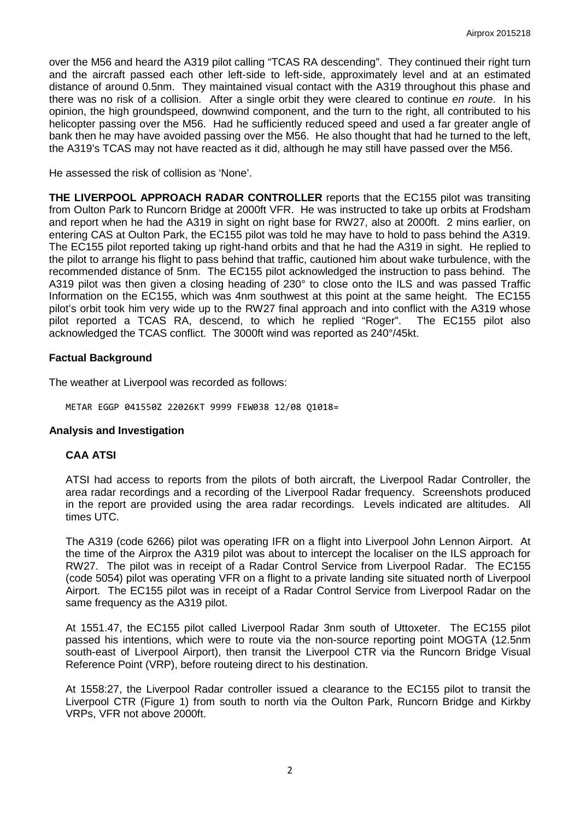over the M56 and heard the A319 pilot calling "TCAS RA descending". They continued their right turn and the aircraft passed each other left-side to left-side, approximately level and at an estimated distance of around 0.5nm. They maintained visual contact with the A319 throughout this phase and there was no risk of a collision. After a single orbit they were cleared to continue *en route*. In his opinion, the high groundspeed, downwind component, and the turn to the right, all contributed to his helicopter passing over the M56. Had he sufficiently reduced speed and used a far greater angle of bank then he may have avoided passing over the M56. He also thought that had he turned to the left, the A319's TCAS may not have reacted as it did, although he may still have passed over the M56.

He assessed the risk of collision as 'None'.

**THE LIVERPOOL APPROACH RADAR CONTROLLER** reports that the EC155 pilot was transiting from Oulton Park to Runcorn Bridge at 2000ft VFR. He was instructed to take up orbits at Frodsham and report when he had the A319 in sight on right base for RW27, also at 2000ft. 2 mins earlier, on entering CAS at Oulton Park, the EC155 pilot was told he may have to hold to pass behind the A319. The EC155 pilot reported taking up right-hand orbits and that he had the A319 in sight. He replied to the pilot to arrange his flight to pass behind that traffic, cautioned him about wake turbulence, with the recommended distance of 5nm. The EC155 pilot acknowledged the instruction to pass behind. The A319 pilot was then given a closing heading of 230° to close onto the ILS and was passed Traffic Information on the EC155, which was 4nm southwest at this point at the same height. The EC155 pilot's orbit took him very wide up to the RW27 final approach and into conflict with the A319 whose pilot reported a TCAS RA, descend, to which he replied "Roger". The EC155 pilot also acknowledged the TCAS conflict. The 3000ft wind was reported as 240°/45kt.

## **Factual Background**

The weather at Liverpool was recorded as follows:

METAR EGGP 041550Z 22026KT 9999 FEW038 12/08 Q1018=

## **Analysis and Investigation**

## **CAA ATSI**

ATSI had access to reports from the pilots of both aircraft, the Liverpool Radar Controller, the area radar recordings and a recording of the Liverpool Radar frequency. Screenshots produced in the report are provided using the area radar recordings. Levels indicated are altitudes. All times UTC.

The A319 (code 6266) pilot was operating IFR on a flight into Liverpool John Lennon Airport. At the time of the Airprox the A319 pilot was about to intercept the localiser on the ILS approach for RW27. The pilot was in receipt of a Radar Control Service from Liverpool Radar. The EC155 (code 5054) pilot was operating VFR on a flight to a private landing site situated north of Liverpool Airport. The EC155 pilot was in receipt of a Radar Control Service from Liverpool Radar on the same frequency as the A319 pilot.

At 1551.47, the EC155 pilot called Liverpool Radar 3nm south of Uttoxeter. The EC155 pilot passed his intentions, which were to route via the non-source reporting point MOGTA (12.5nm south-east of Liverpool Airport), then transit the Liverpool CTR via the Runcorn Bridge Visual Reference Point (VRP), before routeing direct to his destination.

At 1558:27, the Liverpool Radar controller issued a clearance to the EC155 pilot to transit the Liverpool CTR (Figure 1) from south to north via the Oulton Park, Runcorn Bridge and Kirkby VRPs, VFR not above 2000ft.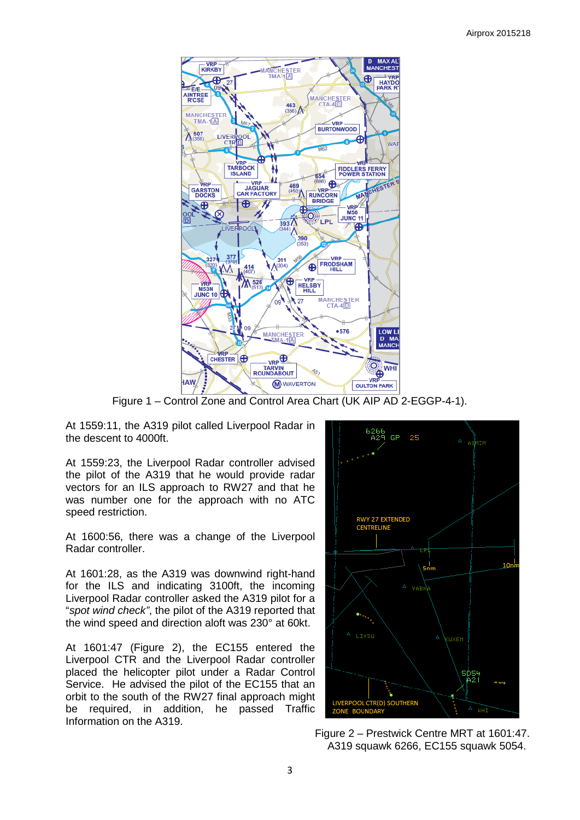

Figure 1 – Control Zone and Control Area Chart (UK AIP AD 2-EGGP-4-1).

At 1559:11, the A319 pilot called Liverpool Radar in the descent to 4000ft.

At 1559:23, the Liverpool Radar controller advised the pilot of the A319 that he would provide radar vectors for an ILS approach to RW27 and that he was number one for the approach with no ATC speed restriction.

At 1600:56, there was a change of the Liverpool Radar controller.

At 1601:28, as the A319 was downwind right-hand for the ILS and indicating 3100ft, the incoming Liverpool Radar controller asked the A319 pilot for a "*spot wind check"*, the pilot of the A319 reported that the wind speed and direction aloft was 230° at 60kt.

At 1601:47 (Figure 2), the EC155 entered the Liverpool CTR and the Liverpool Radar controller placed the helicopter pilot under a Radar Control Service. He advised the pilot of the EC155 that an orbit to the south of the RW27 final approach might be required, in addition, he passed Traffic Information on the A319.



 Figure 2 – Prestwick Centre MRT at 1601:47. A319 squawk 6266, EC155 squawk 5054.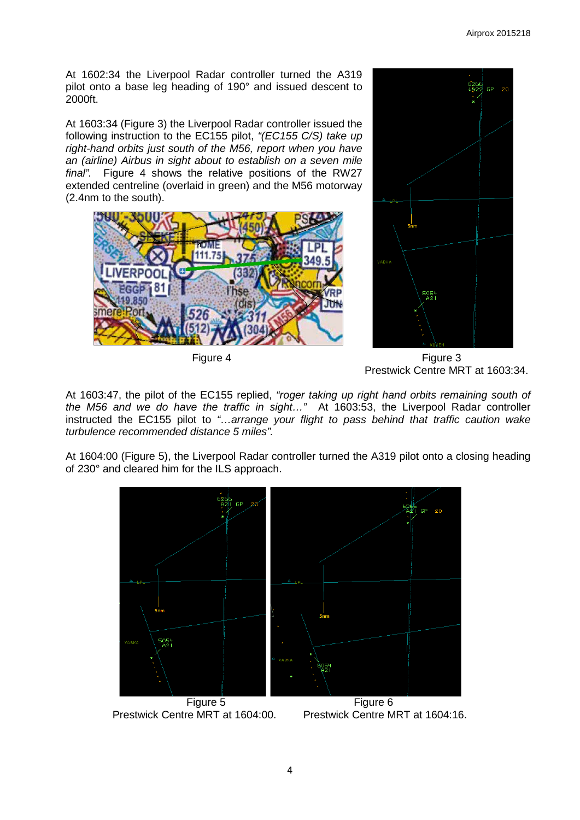At 1602:34 the Liverpool Radar controller turned the A319 pilot onto a base leg heading of 190° and issued descent to 2000ft.

At 1603:34 (Figure 3) the Liverpool Radar controller issued the following instruction to the EC155 pilot, *"(EC155 C/S) take up right-hand orbits just south of the M56, report when you have an (airline) Airbus in sight about to establish on a seven mile final".* Figure 4 shows the relative positions of the RW27 extended centreline (overlaid in green) and the M56 motorway (2.4nm to the south).





 Figure 4 Figure 3 Prestwick Centre MRT at 1603:34.

At 1603:47, the pilot of the EC155 replied, *"roger taking up right hand orbits remaining south of the M56 and we do have the traffic in sight…"* At 1603:53, the Liverpool Radar controller instructed the EC155 pilot to *"…arrange your flight to pass behind that traffic caution wake turbulence recommended distance 5 miles".*

At 1604:00 (Figure 5), the Liverpool Radar controller turned the A319 pilot onto a closing heading of 230° and cleared him for the ILS approach.



Prestwick Centre MRT at 1604:00. Prestwick Centre MRT at 1604:16.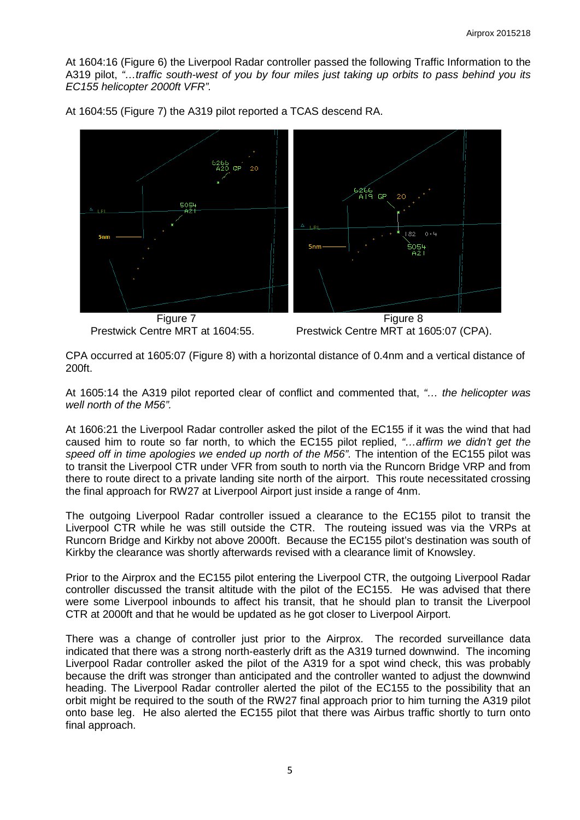At 1604:16 (Figure 6) the Liverpool Radar controller passed the following Traffic Information to the A319 pilot, *"…traffic south-west of you by four miles just taking up orbits to pass behind you its EC155 helicopter 2000ft VFR".*



At 1604:55 (Figure 7) the A319 pilot reported a TCAS descend RA.



Prestwick Centre MRT at 1604:55. Prestwick Centre MRT at 1605:07 (CPA).

CPA occurred at 1605:07 (Figure 8) with a horizontal distance of 0.4nm and a vertical distance of 200ft.

At 1605:14 the A319 pilot reported clear of conflict and commented that, *"… the helicopter was well north of the M56".*

At 1606:21 the Liverpool Radar controller asked the pilot of the EC155 if it was the wind that had caused him to route so far north, to which the EC155 pilot replied, *"…affirm we didn't get the speed off in time apologies we ended up north of the M56".* The intention of the EC155 pilot was to transit the Liverpool CTR under VFR from south to north via the Runcorn Bridge VRP and from there to route direct to a private landing site north of the airport. This route necessitated crossing the final approach for RW27 at Liverpool Airport just inside a range of 4nm.

The outgoing Liverpool Radar controller issued a clearance to the EC155 pilot to transit the Liverpool CTR while he was still outside the CTR. The routeing issued was via the VRPs at Runcorn Bridge and Kirkby not above 2000ft. Because the EC155 pilot's destination was south of Kirkby the clearance was shortly afterwards revised with a clearance limit of Knowsley.

Prior to the Airprox and the EC155 pilot entering the Liverpool CTR, the outgoing Liverpool Radar controller discussed the transit altitude with the pilot of the EC155. He was advised that there were some Liverpool inbounds to affect his transit, that he should plan to transit the Liverpool CTR at 2000ft and that he would be updated as he got closer to Liverpool Airport.

There was a change of controller just prior to the Airprox. The recorded surveillance data indicated that there was a strong north-easterly drift as the A319 turned downwind. The incoming Liverpool Radar controller asked the pilot of the A319 for a spot wind check, this was probably because the drift was stronger than anticipated and the controller wanted to adjust the downwind heading. The Liverpool Radar controller alerted the pilot of the EC155 to the possibility that an orbit might be required to the south of the RW27 final approach prior to him turning the A319 pilot onto base leg. He also alerted the EC155 pilot that there was Airbus traffic shortly to turn onto final approach.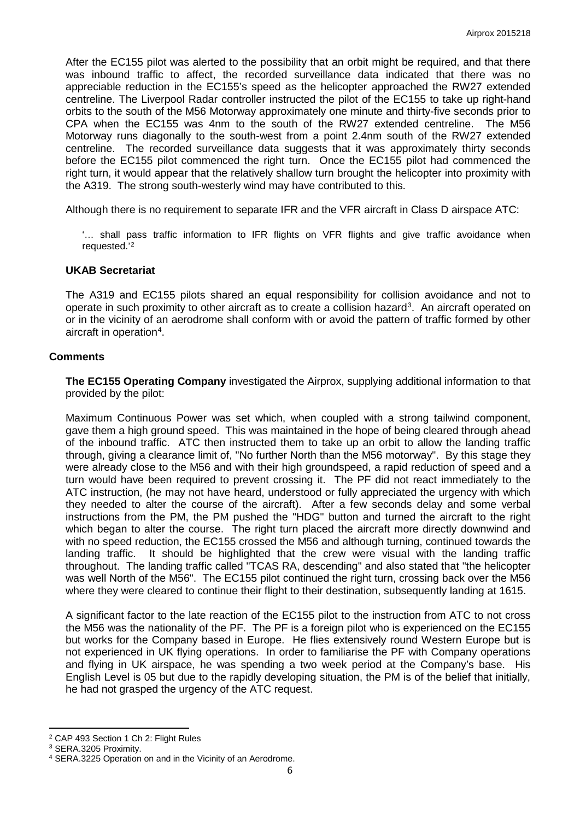After the EC155 pilot was alerted to the possibility that an orbit might be required, and that there was inbound traffic to affect, the recorded surveillance data indicated that there was no appreciable reduction in the EC155's speed as the helicopter approached the RW27 extended centreline. The Liverpool Radar controller instructed the pilot of the EC155 to take up right-hand orbits to the south of the M56 Motorway approximately one minute and thirty-five seconds prior to CPA when the EC155 was 4nm to the south of the RW27 extended centreline. The M56 Motorway runs diagonally to the south-west from a point 2.4nm south of the RW27 extended centreline. The recorded surveillance data suggests that it was approximately thirty seconds before the EC155 pilot commenced the right turn. Once the EC155 pilot had commenced the right turn, it would appear that the relatively shallow turn brought the helicopter into proximity with the A319. The strong south-westerly wind may have contributed to this.

Although there is no requirement to separate IFR and the VFR aircraft in Class D airspace ATC:

'… shall pass traffic information to IFR flights on VFR flights and give traffic avoidance when requested.' [2](#page-5-0)

#### **UKAB Secretariat**

The A319 and EC155 pilots shared an equal responsibility for collision avoidance and not to operate in such proximity to other aircraft as to create a collision hazard<sup>[3](#page-5-1)</sup>. An aircraft operated on or in the vicinity of an aerodrome shall conform with or avoid the pattern of traffic formed by other aircraft in operation<sup>[4](#page-5-2)</sup>.

#### **Comments**

**The EC155 Operating Company** investigated the Airprox, supplying additional information to that provided by the pilot:

Maximum Continuous Power was set which, when coupled with a strong tailwind component, gave them a high ground speed. This was maintained in the hope of being cleared through ahead of the inbound traffic. ATC then instructed them to take up an orbit to allow the landing traffic through, giving a clearance limit of, "No further North than the M56 motorway". By this stage they were already close to the M56 and with their high groundspeed, a rapid reduction of speed and a turn would have been required to prevent crossing it. The PF did not react immediately to the ATC instruction, (he may not have heard, understood or fully appreciated the urgency with which they needed to alter the course of the aircraft). After a few seconds delay and some verbal instructions from the PM, the PM pushed the "HDG" button and turned the aircraft to the right which began to alter the course. The right turn placed the aircraft more directly downwind and with no speed reduction, the EC155 crossed the M56 and although turning, continued towards the landing traffic. It should be highlighted that the crew were visual with the landing traffic throughout. The landing traffic called "TCAS RA, descending" and also stated that "the helicopter was well North of the M56". The EC155 pilot continued the right turn, crossing back over the M56 where they were cleared to continue their flight to their destination, subsequently landing at 1615.

A significant factor to the late reaction of the EC155 pilot to the instruction from ATC to not cross the M56 was the nationality of the PF. The PF is a foreign pilot who is experienced on the EC155 but works for the Company based in Europe. He flies extensively round Western Europe but is not experienced in UK flying operations. In order to familiarise the PF with Company operations and flying in UK airspace, he was spending a two week period at the Company's base. His English Level is 05 but due to the rapidly developing situation, the PM is of the belief that initially, he had not grasped the urgency of the ATC request.

 $\overline{\phantom{a}}$ 

<span id="page-5-0"></span><sup>2</sup> CAP 493 Section 1 Ch 2: Flight Rules

<span id="page-5-1"></span><sup>3</sup> SERA.3205 Proximity.

<span id="page-5-2"></span><sup>4</sup> SERA.3225 Operation on and in the Vicinity of an Aerodrome.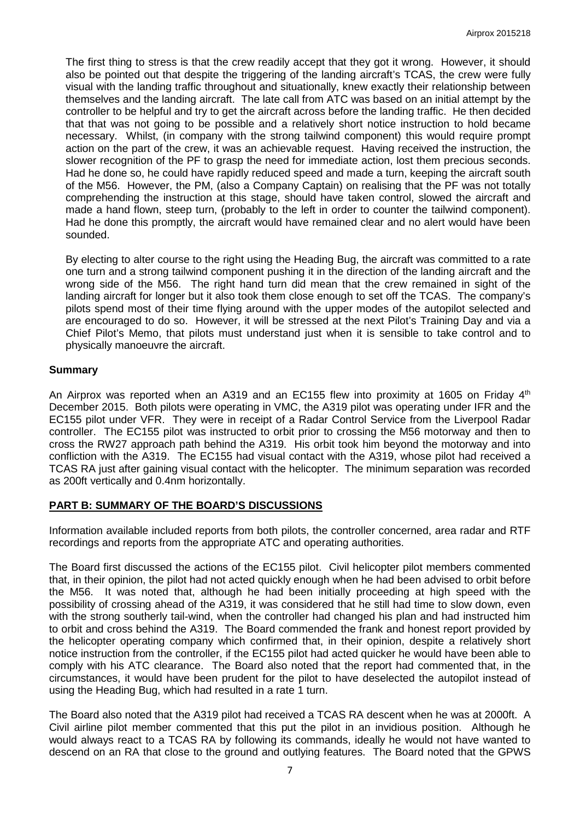The first thing to stress is that the crew readily accept that they got it wrong. However, it should also be pointed out that despite the triggering of the landing aircraft's TCAS, the crew were fully visual with the landing traffic throughout and situationally, knew exactly their relationship between themselves and the landing aircraft. The late call from ATC was based on an initial attempt by the controller to be helpful and try to get the aircraft across before the landing traffic. He then decided that that was not going to be possible and a relatively short notice instruction to hold became necessary. Whilst, (in company with the strong tailwind component) this would require prompt action on the part of the crew, it was an achievable request. Having received the instruction, the slower recognition of the PF to grasp the need for immediate action, lost them precious seconds. Had he done so, he could have rapidly reduced speed and made a turn, keeping the aircraft south of the M56. However, the PM, (also a Company Captain) on realising that the PF was not totally comprehending the instruction at this stage, should have taken control, slowed the aircraft and made a hand flown, steep turn, (probably to the left in order to counter the tailwind component). Had he done this promptly, the aircraft would have remained clear and no alert would have been sounded.

By electing to alter course to the right using the Heading Bug, the aircraft was committed to a rate one turn and a strong tailwind component pushing it in the direction of the landing aircraft and the wrong side of the M56. The right hand turn did mean that the crew remained in sight of the landing aircraft for longer but it also took them close enough to set off the TCAS. The company's pilots spend most of their time flying around with the upper modes of the autopilot selected and are encouraged to do so. However, it will be stressed at the next Pilot's Training Day and via a Chief Pilot's Memo, that pilots must understand just when it is sensible to take control and to physically manoeuvre the aircraft.

## **Summary**

An Airprox was reported when an A319 and an EC155 flew into proximity at 1605 on Friday 4<sup>th</sup> December 2015. Both pilots were operating in VMC, the A319 pilot was operating under IFR and the EC155 pilot under VFR. They were in receipt of a Radar Control Service from the Liverpool Radar controller. The EC155 pilot was instructed to orbit prior to crossing the M56 motorway and then to cross the RW27 approach path behind the A319. His orbit took him beyond the motorway and into confliction with the A319. The EC155 had visual contact with the A319, whose pilot had received a TCAS RA just after gaining visual contact with the helicopter. The minimum separation was recorded as 200ft vertically and 0.4nm horizontally.

## **PART B: SUMMARY OF THE BOARD'S DISCUSSIONS**

Information available included reports from both pilots, the controller concerned, area radar and RTF recordings and reports from the appropriate ATC and operating authorities.

The Board first discussed the actions of the EC155 pilot. Civil helicopter pilot members commented that, in their opinion, the pilot had not acted quickly enough when he had been advised to orbit before the M56. It was noted that, although he had been initially proceeding at high speed with the possibility of crossing ahead of the A319, it was considered that he still had time to slow down, even with the strong southerly tail-wind, when the controller had changed his plan and had instructed him to orbit and cross behind the A319. The Board commended the frank and honest report provided by the helicopter operating company which confirmed that, in their opinion, despite a relatively short notice instruction from the controller, if the EC155 pilot had acted quicker he would have been able to comply with his ATC clearance. The Board also noted that the report had commented that, in the circumstances, it would have been prudent for the pilot to have deselected the autopilot instead of using the Heading Bug, which had resulted in a rate 1 turn.

The Board also noted that the A319 pilot had received a TCAS RA descent when he was at 2000ft. A Civil airline pilot member commented that this put the pilot in an invidious position. Although he would always react to a TCAS RA by following its commands, ideally he would not have wanted to descend on an RA that close to the ground and outlying features. The Board noted that the GPWS